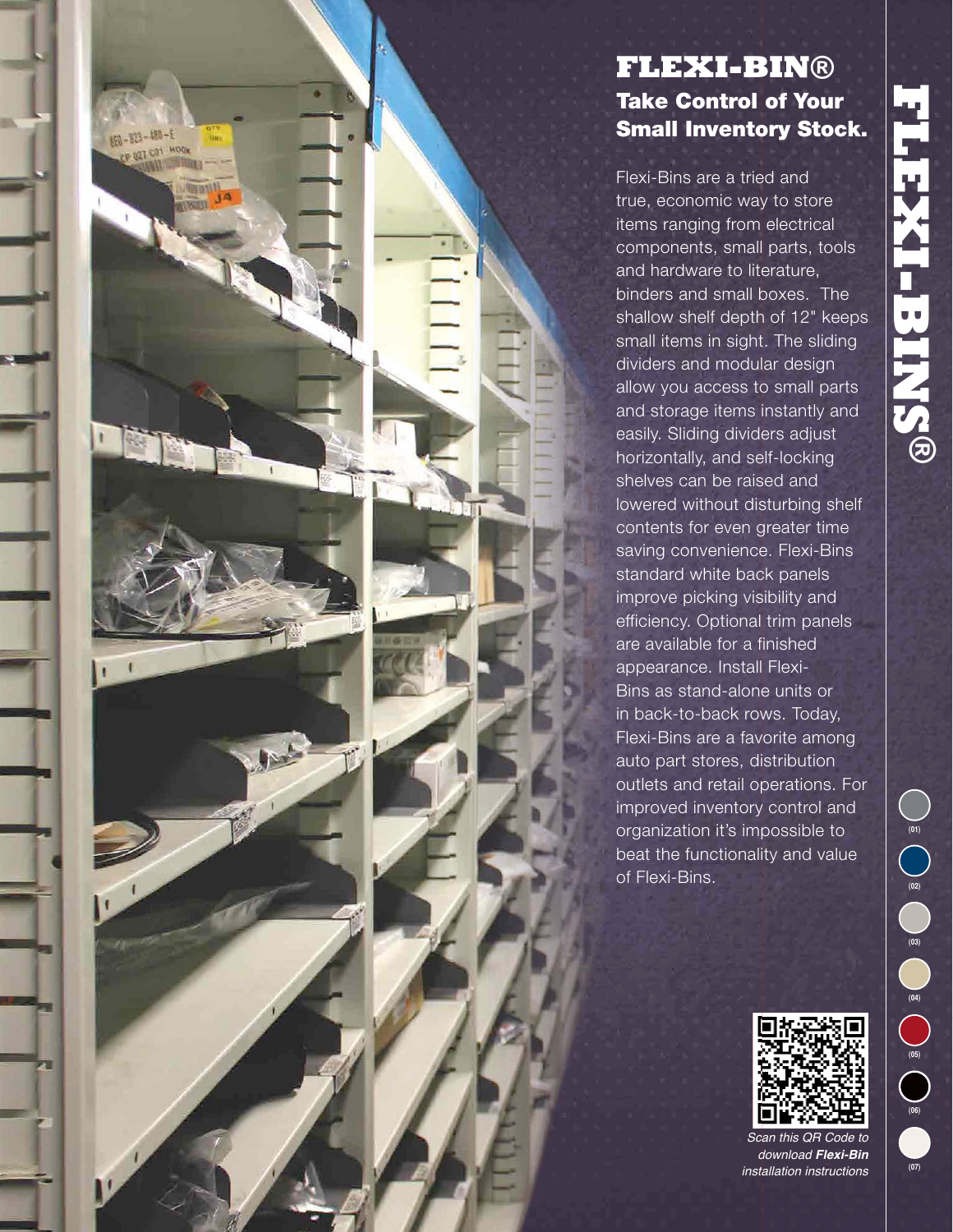# 91 **FLEXI-BINS ®**

# **FLEXI-BIN®** Take Control of Your Small Inventory Stock.

880-823-480-E CP U2T COT HOOK

> Flexi-Bins are a tried and true, economic way to store items ranging from electrical components, small parts, tools and hardware to literature, binders and small boxes. The shallow shelf depth of 12" keeps small items in sight. The sliding dividers and modular design allow you access to small parts and storage items instantly and easily. Sliding dividers adjust horizontally, and self-locking shelves can be raised and lowered without disturbing shelf contents for even greater time saving convenience. Flexi-Bins standard white back panels improve picking visibility and efficiency. Optional trim panels are available for a finished appearance. Install Flexi-Bins as stand-alone units or in back-to-back rows. Today, Flexi-Bins are a favorite among auto part stores, distribution outlets and retail operations. For improved inventory control and organization it's impossible to beat the functionality and value of Flexi-Bins.



*Scan this QR Code to download Flexi-Bin installation instructions*

**(07)**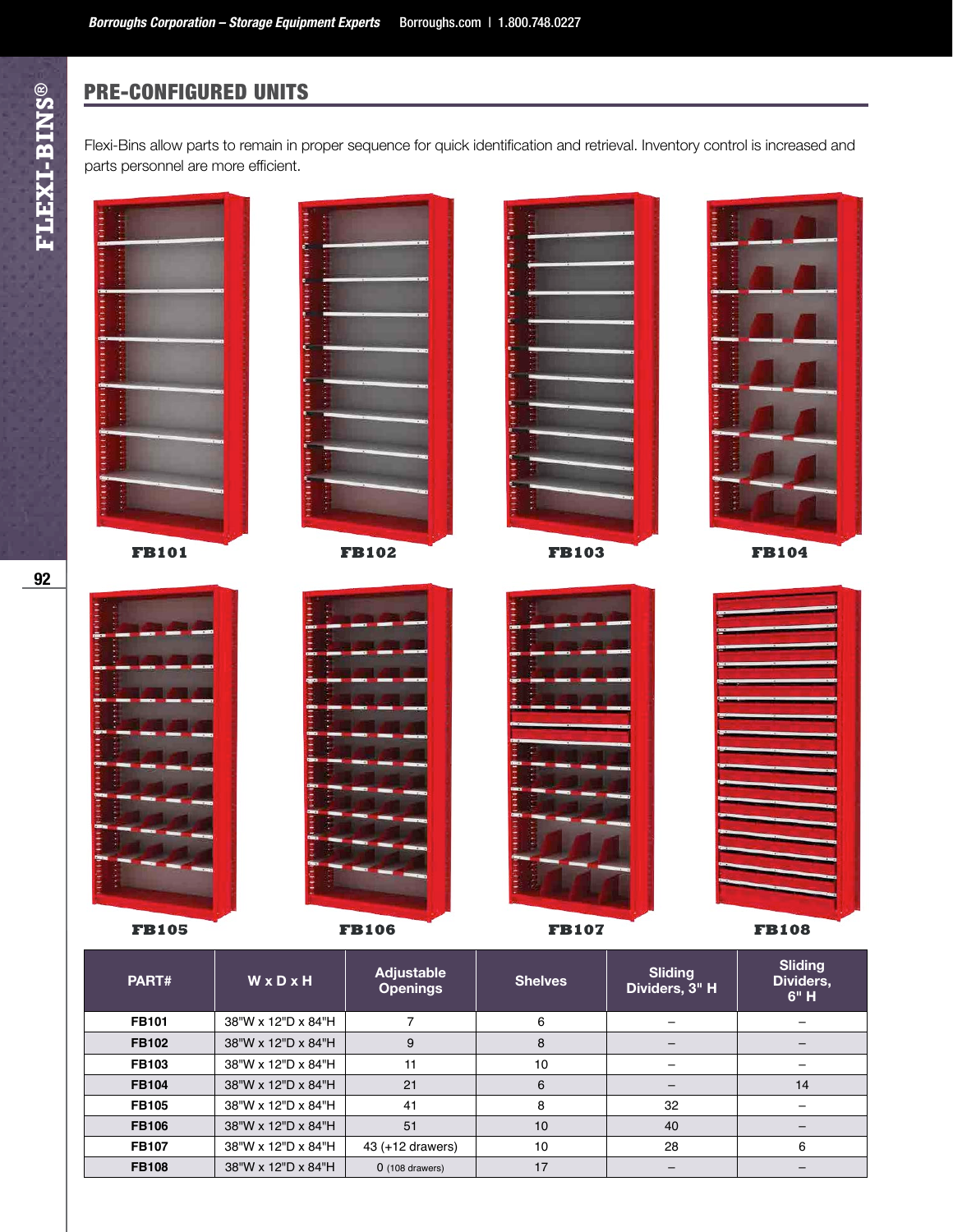# PRE-CONFIGURED UNITS

Flexi-Bins allow parts to remain in proper sequence for quick identification and retrieval. Inventory control is increased and parts personnel are more efficient.



| .            |                    |                   |    |    |    |
|--------------|--------------------|-------------------|----|----|----|
| <b>FB102</b> | 38"W x 12"D x 84"H | 9                 |    |    |    |
| <b>FB103</b> | 38"W x 12"D x 84"H | 11                | 10 |    |    |
| <b>FB104</b> | 38"W x 12"D x 84"H | 21                |    |    | 14 |
| <b>FB105</b> | 38"W x 12"D x 84"H | 41                |    | 32 |    |
| <b>FB106</b> | 38"W x 12"D x 84"H | 51                | 10 | 40 |    |
| <b>FB107</b> | 38"W x 12"D x 84"H | 43 (+12 drawers)  | 10 | 28 | 6  |
| <b>FB108</b> | 38"W x 12"D x 84"H | $0$ (108 drawers) | 17 |    |    |
|              |                    |                   |    |    |    |

**FLEXI-BINS®** 

92

Γ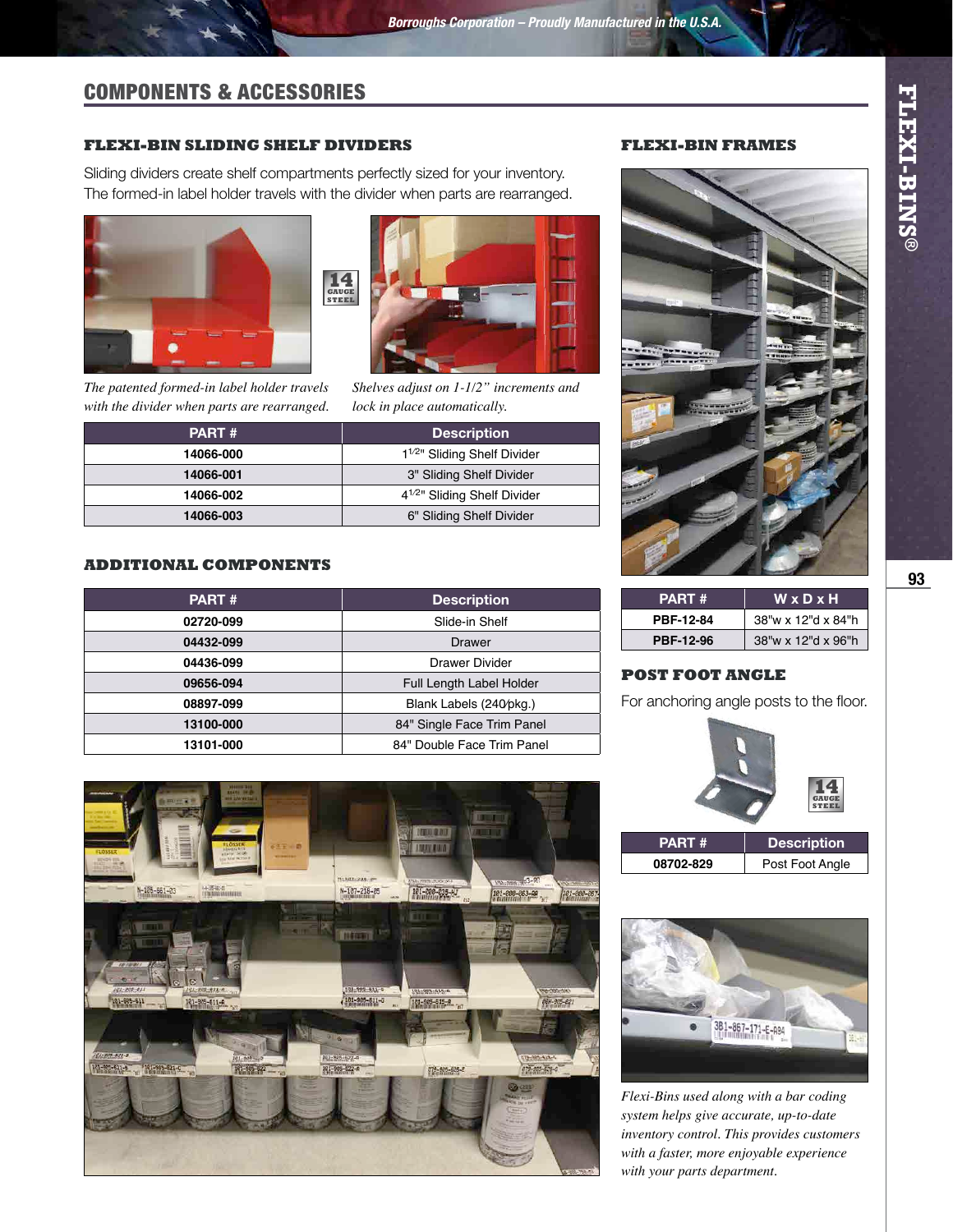# COMPONENTS & ACCESSORIES

### **FLEXI-BIN SLIDING SHELF DIVIDERS**

Sliding dividers create shelf compartments perfectly sized for your inventory. The formed-in label holder travels with the divider when parts are rearranged.







*Shelves adjust on 1-1/2" increments and lock in place automatically.*

| <b>PART#</b> | <b>Description</b>                       |  |
|--------------|------------------------------------------|--|
| 14066-000    | 1 <sup>1/2</sup> " Sliding Shelf Divider |  |
| 14066-001    | 3" Sliding Shelf Divider                 |  |
| 14066-002    | 4 <sup>1/2</sup> " Sliding Shelf Divider |  |
| 14066-003    | 6" Sliding Shelf Divider                 |  |

### **ADDITIONAL COMPONENTS**

| <b>PART#</b> | <b>Description</b>         |
|--------------|----------------------------|
| 02720-099    | Slide-in Shelf             |
| 04432-099    | Drawer                     |
| 04436-099    | Drawer Divider             |
| 09656-094    | Full Length Label Holder   |
| 08897-099    | Blank Labels (240/pkg.)    |
| 13100-000    | 84" Single Face Trim Panel |
| 13101-000    | 84" Double Face Trim Panel |



### **FLEXI-BIN FRAMES**



| PART #           | WxDxH              |  |
|------------------|--------------------|--|
| PBF-12-84        | 38"w x 12"d x 84"h |  |
| <b>PBF-12-96</b> | 38"w x 12"d x 96"h |  |

### **POST FOOT ANGLE**

For anchoring angle posts to the floor.





*Flexi-Bins used along with a bar coding system helps give accurate, up-to-date inventory control. This provides customers with a faster, more enjoyable experience with your parts department.*